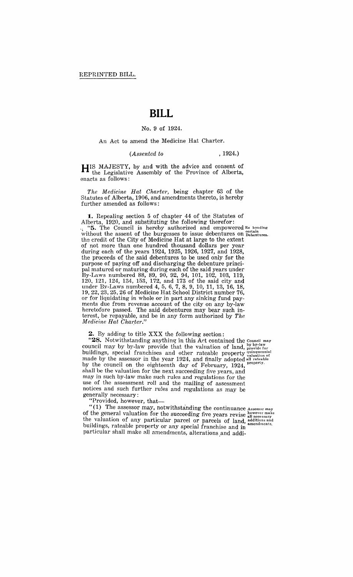# **BILL**

### No.9 of 1924.

An Act to amend the Medicine Hat Charter.

#### *(Assented to* , 1924.)

**HIS** MAJESTY, by and with the advice and consent of the Legislative Assembly of the Province of Alberta, enacts as follows:

*The MediC£ne Hat Charter,* being chapter 63 of the Statutes of Alberta, 1906, and amendments thereto, is hereby further amended as follows:

**1.** Repealing section 5 of chapter 44 of the Statutes of Alberta, 1920, and substituting the following therefor:

... "5. The Council is hereby authorized and empowered Re bonding without the assent of the burgesses to issue debentures on  $_{\text{Debentures}}^{certain}$ . the credit of the City of Medicine Hat at large to the extent of not more than one hundred thousand dollars per year during each of the years 1924, 1925, 1926, 1927, and 1928, the proceeds of the said debentures to be used only for the purpose of paying off and discharging the debenture principal matured or maturing during each of the said years under By-Laws numbered 88, 89, 90, 92, 94, 101, 102, 103, 119, 120, 121, 124, 134, 153, 172, and 173 of the said city and under By-Laws numbered 4, 5, 6, 7, 8, 9, 10, 11, 13, 16, 18, 19,22,23,25,26 of Medicine Hat School District number 76, or for liquidating in whole or in part any sinking fund payments due from revenue account of the city on any by-law heretofore passed. The said debentures may bear such interest, be repayable, and be in any form authorized by *The Medicine Hat Charter."* 

**2.** By adding to title XXX the following section:

"28. Notwithstanding anything in this Act contained the Council may council may by by-law provide that the valuation of land,  $_{\text{provided for}}^{by by-law}$ buildings, special franchises and other rateable property <sup>quinquennial</sup> made by the assessor in the year 1924, and finally adopted all rateable by the council on the eighteenth day of February,  $1924$ ,  $_{\text{property.}}$ shall be the valuation for the next succeeding five years, and may in such by-law make such rules and regulations for the use of the assessment roll and the mailing of assessment notices and such further rules and regulations as may be generally necessary: buildings, special franchises and ot<br>made by the assessor in the year 192<br>by the council on the eighteenth da<br>shall be the valuation for the next suc<br>may in such by-law make such rules a<br>use of the assessment roll and the

"Provided, however, that-

 $''(1)$  The assessor may, notwithstanding the continuance Assessor may of the general valuation for the succeeding five years revise however make the valuation of any particular parcel or parcels of land additions and buildings, rateable property or any special franchise and in buildings, rateable property or any special franchise and in particular shall make all amendments, alterations and addi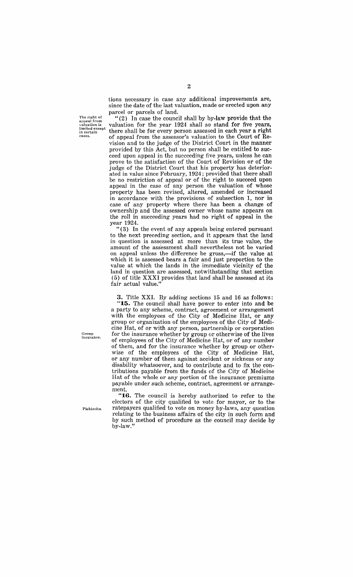The right of appeal from<br>valuation is valuation is<br>limited except in certain<br>cases.

tions necessary in case any additional improvements are, since the date of the last valuation, made or erected upon any parcel or parcels of land.

" (2) In case the council shall by by-law provide that the valuation for the year 1924 shall so stand for five years, there shall be for every person assessed in each year a right of appeal from the assessor's valuation to the Court of Revision and to the judge of the District Court in the manner provided by this Act, but no person shall be entitled to succeed upon appeal in the succeeding five years, unless he can prove to the satisfaction of the Court of Revision or of the judge of the District Court that his property has deteriorated in value since February, 1924; provided that there shall be no restriction of appeal or of the right to succeed upon appeal in the case of any person the valuation of whose property has been revised, altered, amended or increased in accordance with the provisions of subsection 1, nor in case of any property where there has been a change of ownership and the assessed owner whose name appears on the roll in succeeding years had no right of appeal in the year 1924.

"( 3) In the event of any appeals being entered pursuant to the next preceding section, and it appears that the land in question is assessed at more than its true value, the amount of the assessment shall nevertheless not be varied on appeal unless the difference be gross,-if the value at which it is assessed bears a fair and just proportion to the value at which the lands in the immediate vicinity of the land in question are assessed, notwithstanding that section (5) of title XXXI provides that land shall be assessed at its fair actual value."

3. Title XXI. By adding sections 15 and 16 as follows:

"15. The council shall have power to enter into and be a party to any scheme, contract, agreement or arrangement with the employees of the City of Medicine Hat, or any group or organization of the employees of the City of Medicine Hat, of or with any person, partnership or corporation for the insurance whether by group or otherwise of the lives of employees of the City of Medicine Hat, or of any number of them, and for the insurance whether by group or otherwise of the employees of the City of Medicine Hat, or any number of them against accident or sickness or any disability whatsoever, and to contribute and to fix the contributions payable from the funds of the City of Medicine Hat of the whole or any portion of the insurance premiums payable under such scheme, contract, agreement or arrangement.

"16. The council is hereby authorized to refer to the electors of the city qualified to vote for mayor, or to the ratepayers qualified to vote on money by-laws, any question relating to the business affairs of the city in such form and by such method of procedure as the council may decide by by-law." .

Group<br>insurance.

Plebiscite.

2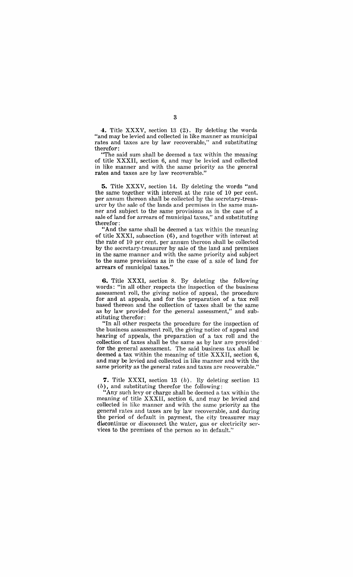**4.** Title XXXV, section 13 (2). By deleting the words "and may be levied and collected in like manner as municipal rates and taxes are by law recoverable," and substituting therefor:

"The said sum shall be deemed a tax within the meaning of title XXXII, section 6, and may be levied and collected in like manner and with the same priority as the general rates and taxes are by law recoverable."

**5.** Title XXXV, section 14. By deleting the words "and the same together with interest at the rate of 10 per cent. per annum thereon shall be collected by the secretary-treasurer by the sale of the lands and premises in the same manner and subject to the same provisions as in the case of a sale of land for arrears of municipal taxes," and substituting therefor:

"And the same shall be deemed a tax within the meaning of title XXXI, subsection (6), and together with interest at the rate of 10 per cent. per annum thereon shall be collected by the secretary-treasurer by sale of the land and premises in the same manner and with the same priority and subject to the same provisions as in the case of a sale of land for arrears of municipal taxes."

**6.** Title XXXI, section 8. By deleting the following words: "in all other respects the inspection of the business assessment roll, the giving notice of appeal, the procedure for and at appeals, and for the preparation of a tax roll based thereon and the collection of taxes shall be the same as by law provided for the general assessment," and substituting therefor:

"In all other respects the procedure for the inspection of the business assessment roll, the giving notice of appeal and hearing of appeals, the preparation of a tax roll and the collection of taxes shall be the same as by law are provided' for the general assessment. The said business tax shall be deemed a tax within the meaning of title XXXII, section 6, and may be levied and collected in like manner and with the same priority as the general rates and taxes are recoverable."

7. Title XXXI, section 13 (b). By deleting section 13 (b), and substituting therefor the following:

"Any such levy or charge shall be deemed a tax within the meaning of title XXXII, section 6, and may be levied and collected in like manner and with the same priority as the general rates and taxes are by law recoverable, and during the period of default in payment, the city treasurer may discontinue or disconnect the water, gas or electricity services to the premises of the person so in default."

3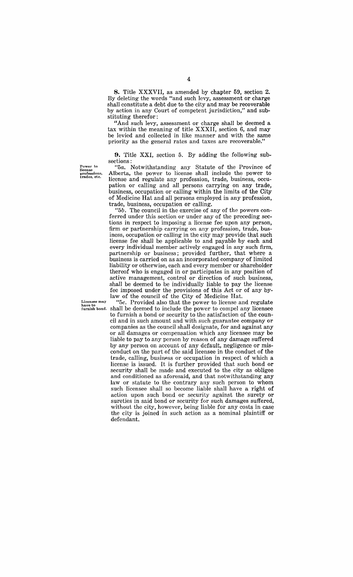8. Title XXXVII, as amended by chapter 59, section 2. By deleting the words "and such levy, assessment or charge shall constitute a debt due to the city and may be recoverable by action in any Court of competent jurisdiction," and substituting therefor:

"And such levy, assessment or charge shall be deemed a tax within the meaning of title XXXII, section 6, and may be levied and collected in like manner and with the same priority as the general rates and taxes are recoverable."

**9.** Title XXI, section 5. By adding the following subsections:

**Power to license professions, trades, etc.** 

*"5a.* Notwithst,anding any Statute of the Province of Alberta, the power to license shall include the power to license and regulate any profession, trade, business, occupation or calling and all persons carrying on any trade, business, occupation or calling within the limits of the City of Medicine Hat and all persons employed in any profession, trade, business, occupation or calling.

*"5b.* The council in the exercise of any of the powers conferred under this section or under any of the preceding sections in respect to imposing a license fee upon any person, firm or partnership carrying on any profession, trade, business, occupation or calling in the city may provide that such license fee shall be applicable to and payable by each and every individual member actively engaged in any such firm, partnership or business; provided further, that where a business is carried on as an incorporated company of limited liability or otherwise, each and every member or shareholder thereof who is engaged in or participates in any position of active management, control or direction of such business, shall be deemed to be individually liable to pay the license fee imposed under the provisions of this Act or of any bylaw of the council of the City of Medicine Hat.

Licensee may **the** *"Sc.* Provided also that the power to license and regulate furnish bond, shall be deemed to include the power to compel any licensee shall be deemed to include the power to compel any licensee to furnish a bond or security to the satisfaction of the council and in such amount and with such guarantee company or companies as the council shall designate, for and against any or all damages or compensation which any licensee may be liable to pay to any person by reason of any damage suffered by any person on account of any default, negligence or misconduct on the part of the said licensee in the conduct of the trade, calling, business or occupation in respect of which a license is issued. It is further provided that such bond or security shall be made and executed to the city as obligee and conditioned as aforesaid, and that notwithstanding any law or statute to the contrary any such person to whom such licensee shall so become liable shall have a right of action upon such bond or security against the surety or sureties in said bond or security for such damages suffered, without the city, however, being liable for any costs in case the city is joined in such action as a nominal plaintiff or defendant.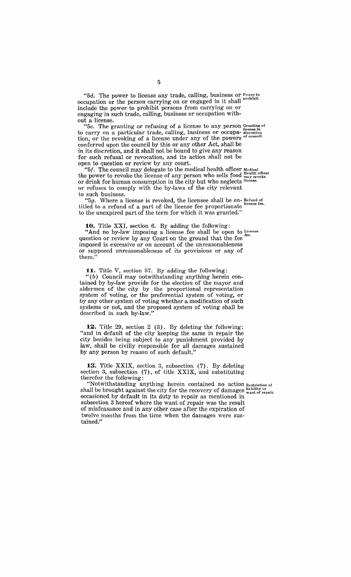"5*d.* The power to license any trade, calling, business or  $P_{\text{over to}}$ occupation or the person carrying on or engaged in it shall promot. include the power to prohibit persons from carrying on or engaging in such trade, calling, business or occupation without a license.

<sup>16</sup> 5e. The granting or refusing of a license to any person Granting of to carry on a particular trade, calling, business or occupa- discretion tion, or the revoking of a license under any of the powers of council. conferred upon the council by this or any other Act, shall be in its discretion, and it shall not be bound to give any reason for such refusal or revocation, and its action shall not be open to question or review by any court.

"5f. The council may delegate to the medical health officer  $\frac{M}{M}$ the power to revoke the license of any person who sells food  $_{\text{may rev}}^{\text{Heath of the}}$ or drink for human consumption in the city but who neglects license. or refuses to comply with the by-laws of the city relevant to such business.

" $5g$ . Where a license is revoked, the licensee shall be en-Refund of titled to a refund of a part of the license fee proportionate license fee. to the unexpired part of the term for which it was granted."

**10.** Title XXI, section 6. By adding the following:

'And no by-law imposing a license fee shall be open to License question or review by any Court on the ground that the fee imposed is excessive or on account of the unreasonableness or supposed unreasonableness of its provisions or any of them.

**11.** Title V, section 57. By adding the following:

" (b) Council may notwithstanding anything herein contained by by-law provide for the election of the mayor and aldermen of the city by the proportional representation system of voting, or the preferential system of voting, or by any other system of voting whether a modification of such systems or not, and the proposed system of voting shall be described in such by-law."

**12.** Title 29, section 2 (3). By deleting the following: "and in default of the city keeping the same in repair the city besides being subject to any punishment provided by law, shall be civilly responsible for all damages sustained by any person by reason of such default."

13. Title XXIX, section 3, subsection (7). By deleting section 3, subsection (7), of title XXIX, and substituting therefor the following:

"Notwithstanding anything herein contained no action Restriction of shall be brought against the city for the recovery of damages  $_{\text{want of repair.}}^{iability to}$ occasioned by default in its duty to repair as mentioned in subsection 3 hereof where the want of repair was the result of misfeasance and in any other case after the expiration of twelve months from the time when the damages were sustained."